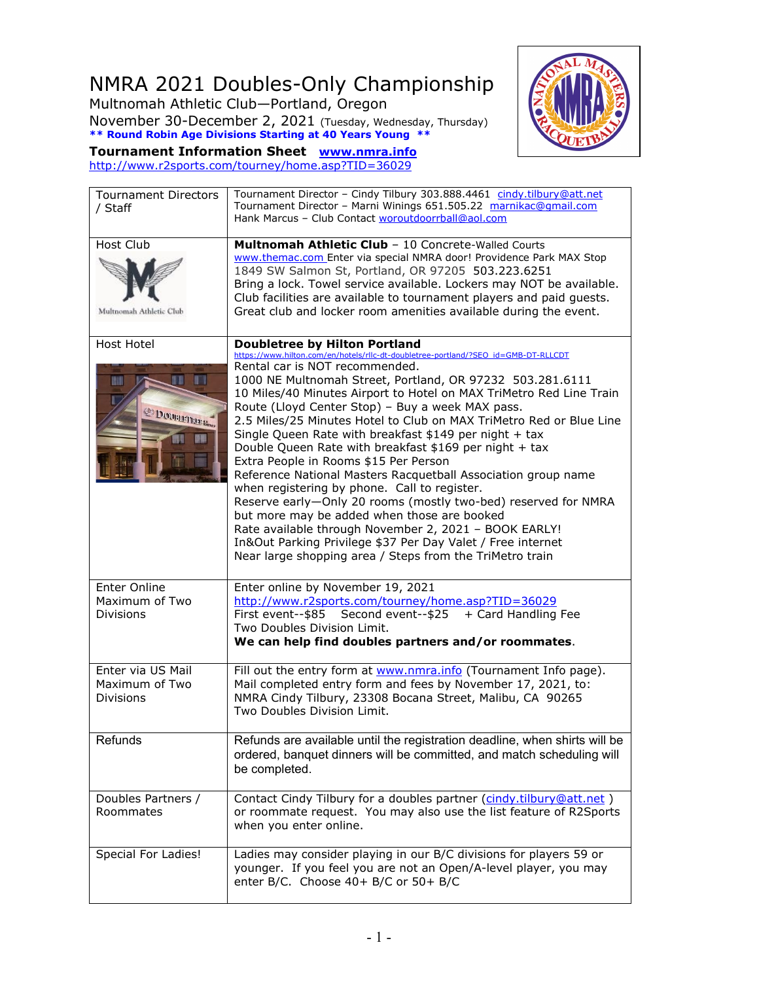## NMRA 2021 Doubles-Only Championship

Multnomah Athletic Club—Portland, Oregon November 30-December 2, 2021 (Tuesday, Wednesday, Thursday) **\*\* Round Robin Age Divisions Starting at 40 Years Young \*\***



**Tournament Information Sheet [www.nmra.info](http://www.nmra.info/)** <http://www.r2sports.com/tourney/home.asp?TID=36029>

| <b>Tournament Directors</b><br>/ Staff                  | Tournament Director - Cindy Tilbury 303.888.4461 cindy.tilbury@att.net<br>Tournament Director - Marni Winings 651.505.22 marnikac@gmail.com<br>Hank Marcus - Club Contact woroutdoorrball@aol.com                                                                                                                                                                                                                                                                                                                                                                                                                                                                                                                                                                                                                                                                                                                                                                                                              |
|---------------------------------------------------------|----------------------------------------------------------------------------------------------------------------------------------------------------------------------------------------------------------------------------------------------------------------------------------------------------------------------------------------------------------------------------------------------------------------------------------------------------------------------------------------------------------------------------------------------------------------------------------------------------------------------------------------------------------------------------------------------------------------------------------------------------------------------------------------------------------------------------------------------------------------------------------------------------------------------------------------------------------------------------------------------------------------|
| Host Club<br>Multnomah Athletic Club                    | Multnomah Athletic Club - 10 Concrete-Walled Courts<br>www.themac.com Enter via special NMRA door! Providence Park MAX Stop<br>1849 SW Salmon St, Portland, OR 97205 503.223.6251<br>Bring a lock. Towel service available. Lockers may NOT be available.<br>Club facilities are available to tournament players and paid guests.<br>Great club and locker room amenities available during the event.                                                                                                                                                                                                                                                                                                                                                                                                                                                                                                                                                                                                          |
| Host Hotel<br>$\mathbb{H}$<br>DOUBLINE Emer             | <b>Doubletree by Hilton Portland</b><br>https://www.hilton.com/en/hotels/rllc-dt-doubletree-portland/?SEO_id=GMB-DT-RLLCDT<br>Rental car is NOT recommended.<br>1000 NE Multnomah Street, Portland, OR 97232 503.281.6111<br>10 Miles/40 Minutes Airport to Hotel on MAX TriMetro Red Line Train<br>Route (Lloyd Center Stop) - Buy a week MAX pass.<br>2.5 Miles/25 Minutes Hotel to Club on MAX TriMetro Red or Blue Line<br>Single Queen Rate with breakfast \$149 per night + tax<br>Double Queen Rate with breakfast \$169 per night + tax<br>Extra People in Rooms \$15 Per Person<br>Reference National Masters Racquetball Association group name<br>when registering by phone. Call to register.<br>Reserve early-Only 20 rooms (mostly two-bed) reserved for NMRA<br>but more may be added when those are booked<br>Rate available through November 2, 2021 - BOOK EARLY!<br>In&Out Parking Privilege \$37 Per Day Valet / Free internet<br>Near large shopping area / Steps from the TriMetro train |
| Enter Online<br>Maximum of Two<br><b>Divisions</b>      | Enter online by November 19, 2021<br>http://www.r2sports.com/tourney/home.asp?TID=36029<br>First event--\$85<br>Second event--\$25 + Card Handling Fee<br>Two Doubles Division Limit.<br>We can help find doubles partners and/or roommates.                                                                                                                                                                                                                                                                                                                                                                                                                                                                                                                                                                                                                                                                                                                                                                   |
| Enter via US Mail<br>Maximum of Two<br><b>Divisions</b> | Fill out the entry form at www.nmra.info (Tournament Info page).<br>Mail completed entry form and fees by November 17, 2021, to:<br>NMRA Cindy Tilbury, 23308 Bocana Street, Malibu, CA 90265<br>Two Doubles Division Limit.                                                                                                                                                                                                                                                                                                                                                                                                                                                                                                                                                                                                                                                                                                                                                                                   |
| Refunds                                                 | Refunds are available until the registration deadline, when shirts will be<br>ordered, banquet dinners will be committed, and match scheduling will<br>be completed.                                                                                                                                                                                                                                                                                                                                                                                                                                                                                                                                                                                                                                                                                                                                                                                                                                           |
| Doubles Partners /<br>Roommates                         | Contact Cindy Tilbury for a doubles partner (cindy.tilbury@att.net)<br>or roommate request. You may also use the list feature of R2Sports<br>when you enter online.                                                                                                                                                                                                                                                                                                                                                                                                                                                                                                                                                                                                                                                                                                                                                                                                                                            |
| Special For Ladies!                                     | Ladies may consider playing in our B/C divisions for players 59 or<br>younger. If you feel you are not an Open/A-level player, you may<br>enter B/C. Choose 40+ B/C or 50+ B/C                                                                                                                                                                                                                                                                                                                                                                                                                                                                                                                                                                                                                                                                                                                                                                                                                                 |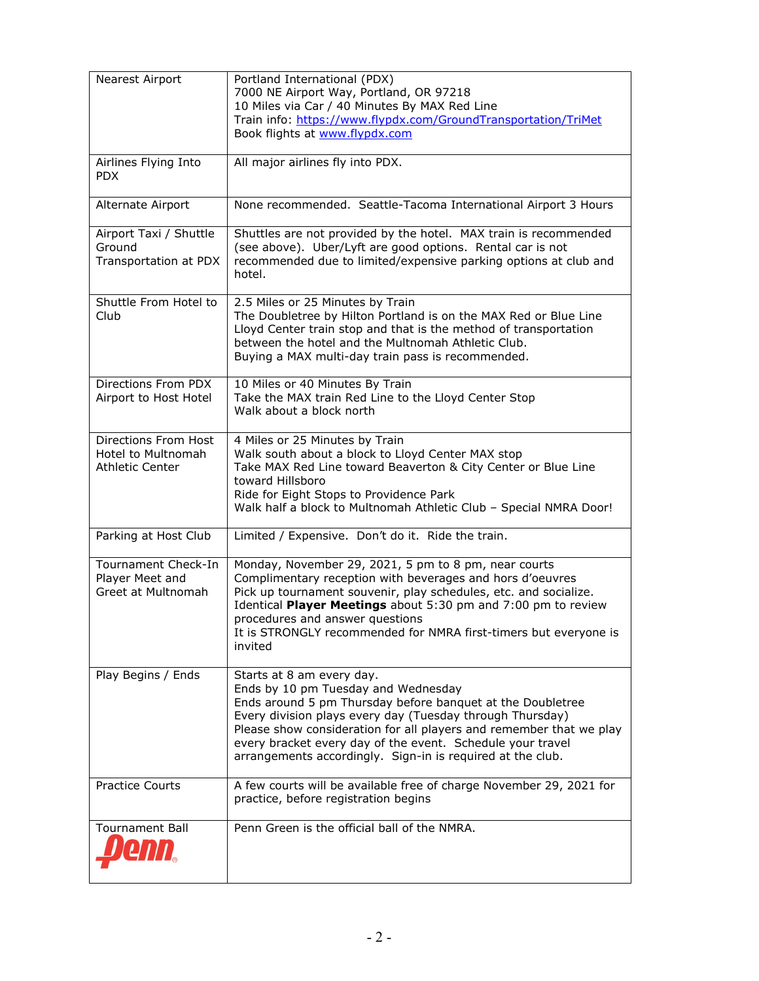| Nearest Airport                                                      | Portland International (PDX)<br>7000 NE Airport Way, Portland, OR 97218<br>10 Miles via Car / 40 Minutes By MAX Red Line<br>Train info: https://www.flypdx.com/GroundTransportation/TriMet                                                                                                                                                                                                     |
|----------------------------------------------------------------------|------------------------------------------------------------------------------------------------------------------------------------------------------------------------------------------------------------------------------------------------------------------------------------------------------------------------------------------------------------------------------------------------|
|                                                                      | Book flights at www.flypdx.com                                                                                                                                                                                                                                                                                                                                                                 |
| Airlines Flying Into<br><b>PDX</b>                                   | All major airlines fly into PDX.                                                                                                                                                                                                                                                                                                                                                               |
| Alternate Airport                                                    | None recommended. Seattle-Tacoma International Airport 3 Hours                                                                                                                                                                                                                                                                                                                                 |
| Airport Taxi / Shuttle<br>Ground<br>Transportation at PDX            | Shuttles are not provided by the hotel. MAX train is recommended<br>(see above). Uber/Lyft are good options. Rental car is not<br>recommended due to limited/expensive parking options at club and<br>hotel.                                                                                                                                                                                   |
| Shuttle From Hotel to<br>Club                                        | 2.5 Miles or 25 Minutes by Train<br>The Doubletree by Hilton Portland is on the MAX Red or Blue Line<br>Lloyd Center train stop and that is the method of transportation<br>between the hotel and the Multnomah Athletic Club.<br>Buying a MAX multi-day train pass is recommended.                                                                                                            |
| Directions From PDX<br>Airport to Host Hotel                         | 10 Miles or 40 Minutes By Train<br>Take the MAX train Red Line to the Lloyd Center Stop<br>Walk about a block north                                                                                                                                                                                                                                                                            |
| Directions From Host<br>Hotel to Multnomah<br><b>Athletic Center</b> | 4 Miles or 25 Minutes by Train<br>Walk south about a block to Lloyd Center MAX stop<br>Take MAX Red Line toward Beaverton & City Center or Blue Line<br>toward Hillsboro<br>Ride for Eight Stops to Providence Park<br>Walk half a block to Multnomah Athletic Club - Special NMRA Door!                                                                                                       |
| Parking at Host Club                                                 | Limited / Expensive. Don't do it. Ride the train.                                                                                                                                                                                                                                                                                                                                              |
| Tournament Check-In<br>Player Meet and<br>Greet at Multnomah         | Monday, November 29, 2021, 5 pm to 8 pm, near courts<br>Complimentary reception with beverages and hors d'oeuvres<br>Pick up tournament souvenir, play schedules, etc. and socialize.<br>Identical Player Meetings about 5:30 pm and 7:00 pm to review<br>procedures and answer questions<br>It is STRONGLY recommended for NMRA first-timers but everyone is<br>invited                       |
| Play Begins / Ends                                                   | Starts at 8 am every day.<br>Ends by 10 pm Tuesday and Wednesday<br>Ends around 5 pm Thursday before banquet at the Doubletree<br>Every division plays every day (Tuesday through Thursday)<br>Please show consideration for all players and remember that we play<br>every bracket every day of the event. Schedule your travel<br>arrangements accordingly. Sign-in is required at the club. |
| <b>Practice Courts</b>                                               | A few courts will be available free of charge November 29, 2021 for<br>practice, before registration begins                                                                                                                                                                                                                                                                                    |
| <b>Tournament Ball</b>                                               | Penn Green is the official ball of the NMRA.                                                                                                                                                                                                                                                                                                                                                   |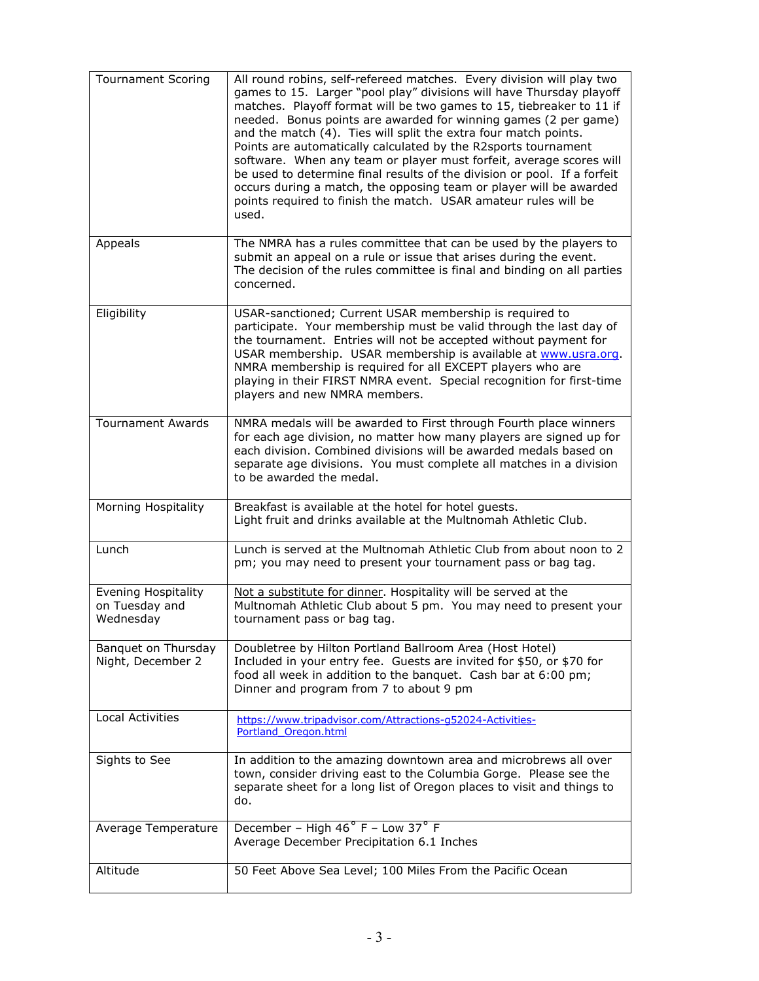| <b>Tournament Scoring</b>                                 | All round robins, self-refereed matches. Every division will play two<br>games to 15. Larger "pool play" divisions will have Thursday playoff<br>matches. Playoff format will be two games to 15, tiebreaker to 11 if<br>needed. Bonus points are awarded for winning games (2 per game)<br>and the match (4). Ties will split the extra four match points.<br>Points are automatically calculated by the R2sports tournament<br>software. When any team or player must forfeit, average scores will<br>be used to determine final results of the division or pool. If a forfeit<br>occurs during a match, the opposing team or player will be awarded<br>points required to finish the match. USAR amateur rules will be<br>used. |
|-----------------------------------------------------------|------------------------------------------------------------------------------------------------------------------------------------------------------------------------------------------------------------------------------------------------------------------------------------------------------------------------------------------------------------------------------------------------------------------------------------------------------------------------------------------------------------------------------------------------------------------------------------------------------------------------------------------------------------------------------------------------------------------------------------|
| Appeals                                                   | The NMRA has a rules committee that can be used by the players to<br>submit an appeal on a rule or issue that arises during the event.<br>The decision of the rules committee is final and binding on all parties<br>concerned.                                                                                                                                                                                                                                                                                                                                                                                                                                                                                                    |
| Eligibility                                               | USAR-sanctioned; Current USAR membership is required to<br>participate. Your membership must be valid through the last day of<br>the tournament. Entries will not be accepted without payment for<br>USAR membership. USAR membership is available at www.usra.org.<br>NMRA membership is required for all EXCEPT players who are<br>playing in their FIRST NMRA event. Special recognition for first-time<br>players and new NMRA members.                                                                                                                                                                                                                                                                                        |
| <b>Tournament Awards</b>                                  | NMRA medals will be awarded to First through Fourth place winners<br>for each age division, no matter how many players are signed up for<br>each division. Combined divisions will be awarded medals based on<br>separate age divisions. You must complete all matches in a division<br>to be awarded the medal.                                                                                                                                                                                                                                                                                                                                                                                                                   |
| Morning Hospitality                                       | Breakfast is available at the hotel for hotel guests.<br>Light fruit and drinks available at the Multnomah Athletic Club.                                                                                                                                                                                                                                                                                                                                                                                                                                                                                                                                                                                                          |
| Lunch                                                     | Lunch is served at the Multnomah Athletic Club from about noon to 2<br>pm; you may need to present your tournament pass or bag tag.                                                                                                                                                                                                                                                                                                                                                                                                                                                                                                                                                                                                |
| <b>Evening Hospitality</b><br>on Tuesday and<br>Wednesday | Not a substitute for dinner. Hospitality will be served at the<br>Multnomah Athletic Club about 5 pm. You may need to present your<br>tournament pass or bag tag.                                                                                                                                                                                                                                                                                                                                                                                                                                                                                                                                                                  |
| Banquet on Thursday<br>Night, December 2                  | Doubletree by Hilton Portland Ballroom Area (Host Hotel)<br>Included in your entry fee. Guests are invited for \$50, or \$70 for<br>food all week in addition to the banquet. Cash bar at 6:00 pm;<br>Dinner and program from 7 to about 9 pm                                                                                                                                                                                                                                                                                                                                                                                                                                                                                      |
| <b>Local Activities</b>                                   | https://www.tripadvisor.com/Attractions-g52024-Activities-<br>Portland Oregon.html                                                                                                                                                                                                                                                                                                                                                                                                                                                                                                                                                                                                                                                 |
| Sights to See                                             | In addition to the amazing downtown area and microbrews all over<br>town, consider driving east to the Columbia Gorge. Please see the<br>separate sheet for a long list of Oregon places to visit and things to<br>do.                                                                                                                                                                                                                                                                                                                                                                                                                                                                                                             |
| Average Temperature                                       | December - High 46° F - Low 37° F<br>Average December Precipitation 6.1 Inches                                                                                                                                                                                                                                                                                                                                                                                                                                                                                                                                                                                                                                                     |
| Altitude                                                  | 50 Feet Above Sea Level; 100 Miles From the Pacific Ocean                                                                                                                                                                                                                                                                                                                                                                                                                                                                                                                                                                                                                                                                          |